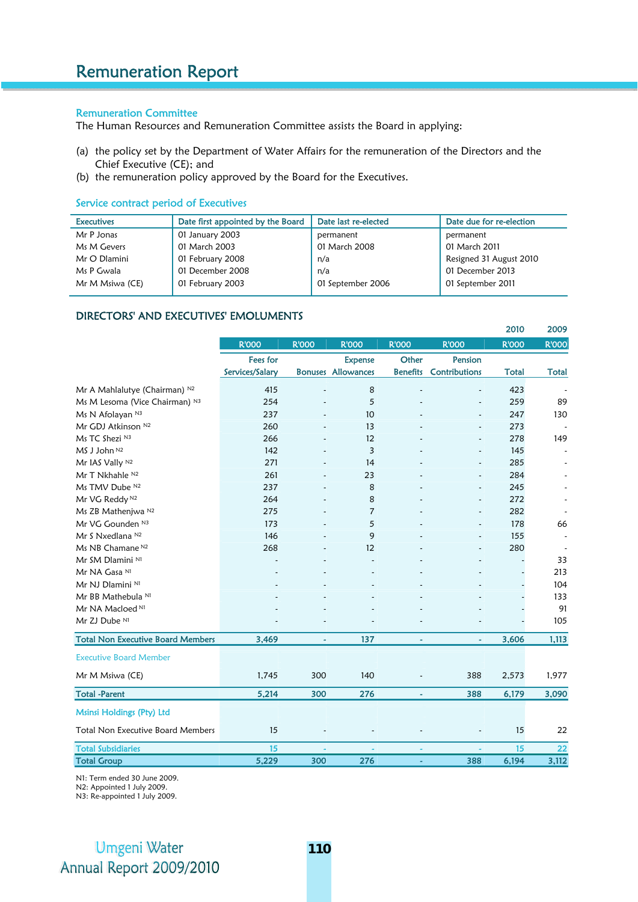## Remuneration Committee

The Human Resources and Remuneration Committee assists the Board in applying:

- (a) the policy set by the Department of Water Affairs for the remuneration of the Directors and the Chief Executive (CE); and
- (b) the remuneration policy approved by the Board for the Executives.

## Service contract period of Executives

| <b>Executives</b> | Date first appointed by the Board | Date last re-elected | Date due for re-election |
|-------------------|-----------------------------------|----------------------|--------------------------|
| Mr P Jonas        | 01 January 2003                   | permanent            | permanent                |
| Ms M Gevers       | 01 March 2003                     | 01 March 2008        | 01 March 2011            |
| Mr O Dlamini      | 01 February 2008                  | n/a                  | Resigned 31 August 2010  |
| Ms P Gwala        | 01 December 2008                  | n/a                  | 01 December 2013         |
| Mr M Msiwa (CE)   | 01 February 2003                  | 01 September 2006    | 01 September 2011        |
|                   |                                   |                      |                          |

## DIRECTORS' AND EXECUTIVES' EMOLUMENTS

|                                          |                 |              |                           |                 |                      | 2010         | 2009         |
|------------------------------------------|-----------------|--------------|---------------------------|-----------------|----------------------|--------------|--------------|
|                                          | <b>R'OOO</b>    | <b>R'OOO</b> | <b>R'OOO</b>              | <b>R'OOO</b>    | <b>R'OOO</b>         | <b>R'OOO</b> | <b>R'OOO</b> |
|                                          | <b>Fees for</b> |              | <b>Expense</b>            | Other           | Pension              |              |              |
|                                          | Services/Salary |              | <b>Bonuses Allowances</b> | <b>Benefits</b> | <b>Contributions</b> | <b>Total</b> | <b>Total</b> |
| Mr A Mahlalutye (Chairman) N2            | 415             |              | 8                         |                 | $\overline{a}$       | 423          |              |
| Ms M Lesoma (Vice Chairman) N3           | 254             |              | 5                         |                 |                      | 259          | 89           |
| Ms N Afolayan N3                         | 237             |              | 10                        |                 |                      | 247          | 130          |
| Mr GDJ Atkinson N2                       | 260             |              | 13                        |                 | $\overline{a}$       | 273          |              |
| Ms TC Shezi N3                           | 266             |              | 12                        |                 | $\overline{a}$       | 278          | 149          |
| MS J John N2                             | 142             |              | 3                         |                 |                      | 145          |              |
| Mr IAS Vally N2                          | 271             |              | 14                        |                 |                      | 285          |              |
| Mr T Nkhahle N <sub>2</sub>              | 261             |              | 23                        |                 |                      | 284          |              |
| Ms TMV Dube N2                           | 237             |              | 8                         |                 |                      | 245          |              |
| Mr VG Reddy <sup>N2</sup>                | 264             |              | 8                         |                 |                      | 272          |              |
| Ms ZB Mathenjwa N2                       | 275             |              | 7                         |                 |                      | 282          |              |
| Mr VG Gounden <sup>N3</sup>              | 173             |              | 5                         |                 |                      | 178          | 66           |
| Mr S Nxedlana N2                         | 146             |              | 9                         |                 |                      | 155          |              |
| Ms NB Chamane <sup>N2</sup>              | 268             |              | 12                        |                 |                      | 280          |              |
| Mr SM Dlamini N1                         |                 |              |                           |                 |                      |              | 33           |
| Mr NA Gasa N1                            |                 |              |                           |                 |                      |              | 213          |
| Mr NJ Dlamini N1                         |                 |              |                           |                 |                      |              | 104          |
| Mr BB Mathebula N1                       |                 |              |                           |                 |                      |              | 133          |
| Mr NA Macloed <sup>N1</sup>              |                 |              |                           |                 |                      |              | 91           |
| Mr ZJ Dube N1                            |                 |              |                           |                 |                      |              | 105          |
| <b>Total Non Executive Board Members</b> | 3,469           | ä,           | 137                       | ä,              |                      | 3,606        | 1,113        |
| <b>Executive Board Member</b>            |                 |              |                           |                 |                      |              |              |
| Mr M Msiwa (CE)                          | 1,745           | 300          | 140                       |                 | 388                  | 2,573        | 1,977        |
| <b>Total -Parent</b>                     | 5,214           | 300          | 276                       | ٠               | 388                  | 6,179        | 3,090        |
| Msinsi Holdings (Pty) Ltd                |                 |              |                           |                 |                      |              |              |
| <b>Total Non Executive Board Members</b> | 15              |              |                           |                 |                      | 15           | 22           |
| <b>Total Subsidiaries</b>                | 15              |              |                           |                 |                      | 15           | 22           |
| <b>Total Group</b>                       | 5,229           | 300          | 276                       | ٠               | 388                  | 6,194        | 3,112        |
|                                          |                 |              |                           |                 |                      |              |              |

N1: Term ended 30 June 2009.

N2: Appointed 1 July 2009.

N3: Re-appointed 1 July 2009.